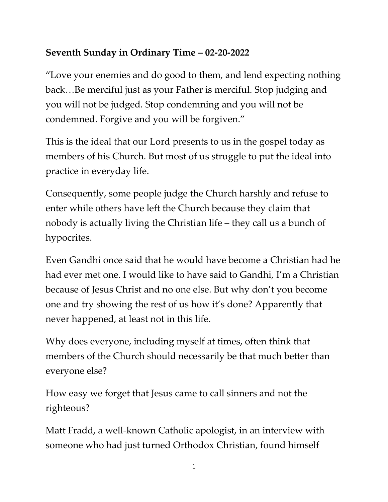## **Seventh Sunday in Ordinary Time – 02-20-2022**

"Love your enemies and do good to them, and lend expecting nothing back…Be merciful just as your Father is merciful. Stop judging and you will not be judged. Stop condemning and you will not be condemned. Forgive and you will be forgiven."

This is the ideal that our Lord presents to us in the gospel today as members of his Church. But most of us struggle to put the ideal into practice in everyday life.

Consequently, some people judge the Church harshly and refuse to enter while others have left the Church because they claim that nobody is actually living the Christian life – they call us a bunch of hypocrites.

Even Gandhi once said that he would have become a Christian had he had ever met one. I would like to have said to Gandhi, I'm a Christian because of Jesus Christ and no one else. But why don't you become one and try showing the rest of us how it's done? Apparently that never happened, at least not in this life.

Why does everyone, including myself at times, often think that members of the Church should necessarily be that much better than everyone else?

How easy we forget that Jesus came to call sinners and not the righteous?

Matt Fradd, a well-known Catholic apologist, in an interview with someone who had just turned Orthodox Christian, found himself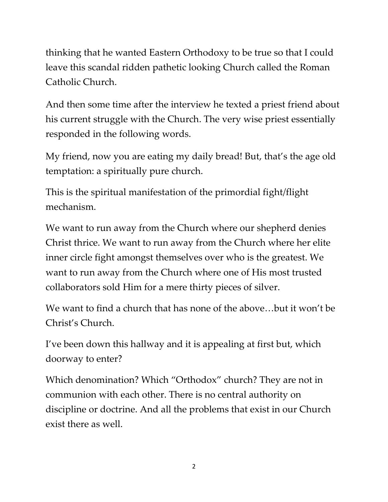thinking that he wanted Eastern Orthodoxy to be true so that I could leave this scandal ridden pathetic looking Church called the Roman Catholic Church.

And then some time after the interview he texted a priest friend about his current struggle with the Church. The very wise priest essentially responded in the following words.

My friend, now you are eating my daily bread! But, that's the age old temptation: a spiritually pure church.

This is the spiritual manifestation of the primordial fight/flight mechanism.

We want to run away from the Church where our shepherd denies Christ thrice. We want to run away from the Church where her elite inner circle fight amongst themselves over who is the greatest. We want to run away from the Church where one of His most trusted collaborators sold Him for a mere thirty pieces of silver.

We want to find a church that has none of the above…but it won't be Christ's Church.

I've been down this hallway and it is appealing at first but, which doorway to enter?

Which denomination? Which "Orthodox" church? They are not in communion with each other. There is no central authority on discipline or doctrine. And all the problems that exist in our Church exist there as well.